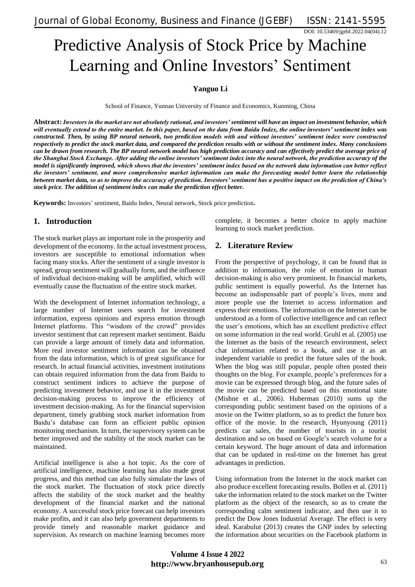DOI: 10.53469/jgebf.2022.04(04).12

# Predictive Analysis of Stock Price by Machine Learning and Online Investors' Sentiment

## **Yanguo Li**

School of Finance, Yunnan University of Finance and Economics, Kunming, China

**Abstract:** *Investors in the market are not absolutely rational, and investors' sentiment will have an impact on investment behavior, which will eventually extend to the entire market. In this paper, based on the data from Baidu Index, the online investors' sentiment index was constructed. Then, by using BP neural network, two prediction models with and without investors' sentiment index were constructed respectively to predict the stock market data, and compared the prediction results with or without the sentiment index. Many conclusions can be drawn from research. The BP neural network model has high prediction accuracy and can effectively predict the average price of the Shanghai Stock Exchange. After adding the online investors' sentiment index into the neural network, the prediction accuracy of the model is significantly improved, which shows that the investors' sentiment index based on the network data information can better reflect the investors' sentiment, and more comprehensive market information can make the forecasting model better learn the relationship between market data, so as to improve the accuracy of prediction. Investors' sentiment has a positive impact on the prediction of China's stock price. The addition of sentiment index can make the prediction effect better.*

**Keywords:** Investors' sentiment, Baidu Index, Neural network, Stock price prediction**.**

## **1. Introduction**

The stock market plays an important role in the prosperity and development of the economy. In the actual investment process, investors are susceptible to emotional information when facing many stocks. After the sentiment of a single investor is spread, group sentiment will gradually form, and the influence of individual decision-making will be amplified, which will eventually cause the fluctuation of the entire stock market.

With the development of Internet information technology, a large number of Internet users search for investment information, express opinions and express emotion through Internet platforms. This "wisdom of the crowd" provides investor sentiment that can represent market sentiment. Baidu can provide a large amount of timely data and information. More real investor sentiment information can be obtained from the data information, which is of great significance for research. In actual financial activities, investment institutions can obtain required information from the data from Baidu to construct sentiment indices to achieve the purpose of predicting investment behavior, and use it in the investment decision-making process to improve the efficiency of investment decision-making. As for the financial supervision department, timely grabbing stock market information from Baidu's database can form an efficient public opinion monitoring mechanism. In turn, the supervisory system can be better improved and the stability of the stock market can be maintained.

Artificial intelligence is also a hot topic. As the core of artificial intelligence, machine learning has also made great progress, and this method can also fully simulate the laws of the stock market. The fluctuation of stock price directly affects the stability of the stock market and the healthy development of the financial market and the national economy. A successful stock price forecast can help investors make profits, and it can also help government departments to provide timely and reasonable market guidance and supervision. As research on machine learning becomes more

complete, it becomes a better choice to apply machine learning to stock market prediction.

## **2. Literature Review**

From the perspective of psychology, it can be found that in addition to information, the role of emotion in human decision-making is also very prominent. In financial markets, public sentiment is equally powerful. As the Internet has become an indispensable part of people's lives, more and more people use the Internet to access information and express their emotions. The information on the Internet can be understood as a form of collective intelligence and can reflect the user's emotions, which has an excellent predictive effect on some information in the real world. Gruhl et al. (2005) use the Internet as the basis of the research environment, select chat information related to a book, and use it as an independent variable to predict the future sales of the book. When the blog was still popular, people often posted their thoughts on the blog. For example, people's preferences for a movie can be expressed through blog, and the future sales of the movie can be predicted based on this emotional state (Mishne et al., 2006). Huberman (2010) sums up the corresponding public sentiment based on the opinions of a movie on the Twitter platform, so as to predict the future box office of the movie. In the research, Hyunyoung (2011) predicts car sales, the number of tourists in a tourist destination and so on based on Google's search volume for a certain keyword. The huge amount of data and information that can be updated in real-time on the Internet has great advantages in prediction.

Using information from the Internet in the stock market can also produce excellent forecasting results. Bollen et al. (2011) take the information related to the stock market on the Twitter platform as the object of the research, so as to create the corresponding calm sentiment indicator, and then use it to predict the Dow Jones Industrial Average. The effect is very ideal. Karabulut (2013) creates the GNP index by selecting the information about securities on the Facebook platform in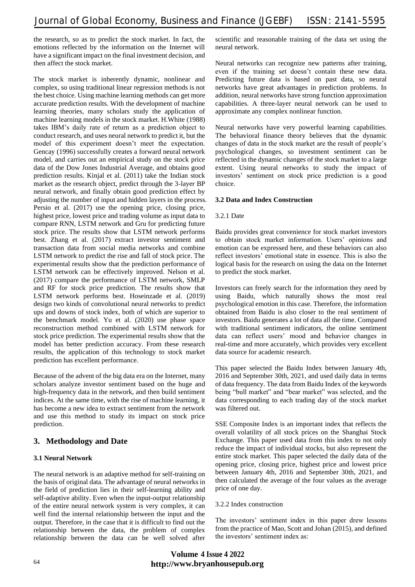the research, so as to predict the stock market. In fact, the emotions reflected by the information on the Internet will have a significant impact on the final investment decision, and then affect the stock market.

The stock market is inherently dynamic, nonlinear and complex, so using traditional linear regression methods is not the best choice. Using machine learning methods can get more accurate prediction results. With the development of machine learning theories, many scholars study the application of machine learning models in the stock market. H.White (1988) takes IBM's daily rate of return as a prediction object to conduct research, and uses neural network to predict it, but the model of this experiment doesn't meet the expectation. Gencay (1996) successfully creates a forward neural network model, and carries out an empirical study on the stock price data of the Dow Jones Industrial Average, and obtains good prediction results. Kinjal et al. (2011) take the Indian stock market as the research object, predict through the 3-layer BP neural network, and finally obtain good prediction effect by adjusting the number of input and hidden layers in the process. Persio et al. (2017) use the opening price, closing price, highest price, lowest price and trading volume as input data to compare RNN, LSTM network and Gru for predicting future stock price. The results show that LSTM network performs best. Zhang et al. (2017) extract investor sentiment and transaction data from social media networks and combine LSTM network to predict the rise and fall of stock price. The experimental results show that the prediction performance of LSTM network can be effectively improved. Nelson et al. (2017) compare the performance of LSTM network, SMLP and RF for stock price prediction. The results show that LSTM network performs best. Hoseinzade et al. (2019) design two kinds of convolutional neural networks to predict ups and downs of stock index, both of which are superior to the benchmark model. Yu et al. (2020) use phase space reconstruction method combined with LSTM network for stock price prediction. The experimental results show that the model has better prediction accuracy. From these research results, the application of this technology to stock market prediction has excellent performance.

Because of the advent of the big data era on the Internet, many scholars analyze investor sentiment based on the huge and high-frequency data in the network, and then build sentiment indices. At the same time, with the rise of machine learning, it has become a new idea to extract sentiment from the network and use this method to study its impact on stock price prediction.

# **3. Methodology and Date**

## **3.1 Neural Network**

The neural network is an adaptive method for self-training on the basis of original data. The advantage of neural networks in the field of prediction lies in their self-learning ability and self-adaptive ability. Even when the input-output relationship of the entire neural network system is very complex, it can well find the internal relationship between the input and the output. Therefore, in the case that it is difficult to find out the relationship between the data, the problem of complex relationship between the data can be well solved after scientific and reasonable training of the data set using the neural network.

Neural networks can recognize new patterns after training, even if the training set doesn't contain these new data. Predicting future data is based on past data, so neural networks have great advantages in prediction problems. In addition, neural networks have strong function approximation capabilities. A three-layer neural network can be used to approximate any complex nonlinear function.

Neural networks have very powerful learning capabilities. The behavioral finance theory believes that the dynamic changes of data in the stock market are the result of people's psychological changes, so investment sentiment can be reflected in the dynamic changes of the stock market to a large extent. Using neural networks to study the impact of investors' sentiment on stock price prediction is a good choice.

## **3.2 Data and Index Construction**

## 3.2.1 Date

Baidu provides great convenience for stock market investors to obtain stock market information. Users' opinions and emotion can be expressed here, and these behaviors can also reflect investors' emotional state in essence. This is also the logical basis for the research on using the data on the Internet to predict the stock market.

Investors can freely search for the information they need by using Baidu, which naturally shows the most real psychological emotion in this case. Therefore, the information obtained from Baidu is also closer to the real sentiment of investors. Baidu generates a lot of data all the time. Compared with traditional sentiment indicators, the online sentiment data can reflect users' mood and behavior changes in real-time and more accurately, which provides very excellent data source for academic research.

This paper selected the Baidu Index between January 4th, 2016 and September 30th, 2021, and used daily data in terms of data frequency. The data from Baidu Index of the keywords being "bull market" and "bear market" was selected, and the data corresponding to each trading day of the stock market was filtered out.

SSE Composite Index is an important index that reflects the overall volatility of all stock prices on the Shanghai Stock Exchange. This paper used data from this index to not only reduce the impact of individual stocks, but also represent the entire stock market. This paper selected the daily data of the opening price, closing price, highest price and lowest price between January 4th, 2016 and September 30th, 2021, and then calculated the average of the four values as the average price of one day.

## 3.2.2 Index construction

The investors' sentiment index in this paper drew lessons from the practice of Mao, Scott and Johan (2015), and defined the investors' sentiment index as:

# **http://www.bryanhousepub.org Volume** 4 **Issue** 4 **2022**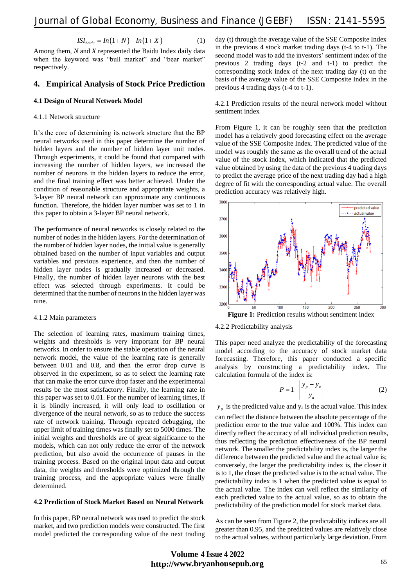$$
ISI_{\text{baidu}} = In(1+N) - In(1+X) \tag{1}
$$

Among them, *N* and *X* represented the Baidu Index daily data when the keyword was "bull market" and "bear market" respectively.

## **4. Empirical Analysis of Stock Price Prediction**

#### **4.1 Design of Neural Network Model**

#### 4.1.1 Network structure

It's the core of determining its network structure that the BP neural networks used in this paper determine the number of hidden layers and the number of hidden layer unit nodes. Through experiments, it could be found that compared with increasing the number of hidden layers, we increased the number of neurons in the hidden layers to reduce the error, and the final training effect was better achieved. Under the condition of reasonable structure and appropriate weights, a 3-layer BP neural network can approximate any continuous function. Therefore, the hidden layer number was set to 1 in this paper to obtain a 3-layer BP neural network.

The performance of neural networks is closely related to the number of nodes in the hidden layers. For the determination of the number of hidden layer nodes, the initial value is generally obtained based on the number of input variables and output variables and previous experience, and then the number of hidden layer nodes is gradually increased or decreased. Finally, the number of hidden layer neurons with the best effect was selected through experiments. It could be determined that the number of neurons in the hidden layer was nine.

#### 4.1.2 Main parameters

The selection of learning rates, maximum training times, weights and thresholds is very important for BP neural networks. In order to ensure the stable operation of the neural network model, the value of the learning rate is generally between 0.01 and 0.8, and then the error drop curve is observed in the experiment, so as to select the learning rate that can make the error curve drop faster and the experimental results be the most satisfactory. Finally, the learning rate in this paper was set to 0.01. For the number of learning times, if it is blindly increased, it will only lead to oscillation or divergence of the neural network, so as to reduce the success rate of network training. Through repeated debugging, the upper limit of training times was finally set to 5000 times. The initial weights and thresholds are of great significance to the models, which can not only reduce the error of the network prediction, but also avoid the occurrence of pauses in the training process. Based on the original input data and output data, the weights and thresholds were optimized through the training process, and the appropriate values were finally determined.

## **4.2 Prediction of Stock Market Based on Neural Network**

In this paper, BP neural network was used to predict the stock market, and two prediction models were constructed. The first model predicted the corresponding value of the next trading day (t) through the average value of the SSE Composite Index in the previous 4 stock market trading days (t-4 to t-1). The second model was to add the investors' sentiment index of the previous 2 trading days (t-2 and t-1) to predict the corresponding stock index of the next trading day (t) on the basis of the average value of the SSE Composite Index in the previous 4 trading days (t-4 to t-1).

### 4.2.1 Prediction results of the neural network model without sentiment index

From Figure 1, it can be roughly seen that the prediction model has a relatively good forecasting effect on the average value of the SSE Composite Index. The predicted value of the model was roughly the same as the overall trend of the actual value of the stock index, which indicated that the predicted value obtained by using the data of the previous 4 trading days to predict the average price of the next trading day had a high degree of fit with the corresponding actual value. The overall prediction accuracy was relatively high.



4.2.2 Predictability analysis

This paper need analyze the predictability of the forecasting model according to the accuracy of stock market data forecasting. Therefore, this paper conducted a specific analysis by constructing a predictability index. The calculation formula of the index is:

$$
P = 1 - \left| \frac{y_p - y_a}{y_a} \right| \tag{2}
$$

 $y_p$  is the predicted value and  $y_a$  is the actual value. This index can reflect the distance between the absolute percentage of the prediction error to the true value and 100%. This index can directly reflect the accuracy of all individual prediction results, thus reflecting the prediction effectiveness of the BP neural network. The smaller the predictability index is, the larger the difference between the predicted value and the actual value is; conversely, the larger the predictability index is, the closer it is to 1, the closer the predicted value is to the actual value. The predictability index is 1 when the predicted value is equal to the actual value. The index can well reflect the similarity of each predicted value to the actual value, so as to obtain the predictability of the prediction model for stock market data.

As can be seen from Figure 2, the predictability indices are all greater than 0.95, and the predicted values are relatively close to the actual values, without particularly large deviation. From

# **http://www.bryanhousepub.org Volume** 4 **Issue** 4 **2022**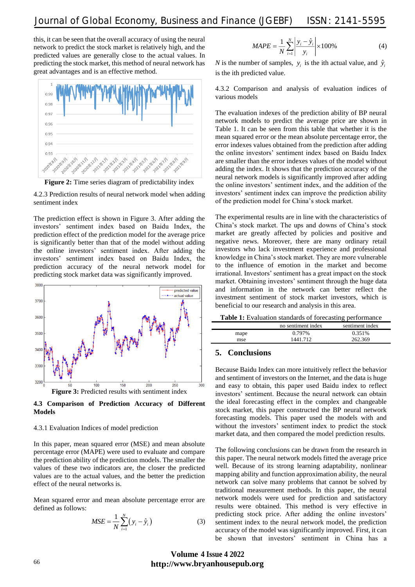this, it can be seen that the overall accuracy of using the neural network to predict the stock market is relatively high, and the predicted values are generally close to the actual values. In predicting the stock market, this method of neural network has great advantages and is an effective method.



**Figure 2:** Time series diagram of predictability index

4.2.3 Prediction results of neural network model when adding sentiment index

The prediction effect is shown in Figure 3. After adding the investors' sentiment index based on Baidu Index, the prediction effect of the prediction model for the average price is significantly better than that of the model without adding the online investors' sentiment index. After adding the investors' sentiment index based on Baidu Index, the prediction accuracy of the neural network model for predicting stock market data was significantly improved.



**4.3 Comparison of Prediction Accuracy of Different Models**

#### 4.3.1 Evaluation Indices of model prediction

In this paper, mean squared error (MSE) and mean absolute percentage error (MAPE) were used to evaluate and compare the prediction ability of the prediction models. The smaller the values of these two indicators are, the closer the predicted values are to the actual values, and the better the prediction effect of the neural networks is.

Mean squared error and mean absolute percentage error are defined as follows:

$$
MSE = \frac{1}{N} \sum_{i=1}^{N} (y_i - \hat{y}_i)
$$
 (3)

$$
MAPE = \frac{1}{N} \sum_{i=1}^{N} \left| \frac{y_i - \hat{y}_i}{y_i} \right| \times 100\%
$$
 (4)

*N* is the number of samples,  $y_i$  is the ith actual value, and  $\hat{y}_i$ is the ith predicted value.

4.3.2 Comparison and analysis of evaluation indices of various models

The evaluation indexes of the prediction ability of BP neural network models to predict the average price are shown in Table 1. It can be seen from this table that whether it is the mean squared error or the mean absolute percentage error, the error indexes values obtained from the prediction after adding the online investors' sentiment index based on Baidu Index are smaller than the error indexes values of the model without adding the index. It shows that the prediction accuracy of the neural network models is significantly improved after adding the online investors' sentiment index, and the addition of the investors' sentiment index can improve the prediction ability of the prediction model for China's stock market.

The experimental results are in line with the characteristics of China's stock market. The ups and downs of China's stock market are greatly affected by policies and positive and negative news. Moreover, there are many ordinary retail investors who lack investment experience and professional knowledge in China's stock market. They are more vulnerable to the influence of emotion in the market and become irrational. Investors' sentiment has a great impact on the stock market. Obtaining investors' sentiment through the huge data and information in the network can better reflect the investment sentiment of stock market investors, which is beneficial to our research and analysis in this area.

| <b>Table 1:</b> Evaluation standards of forecasting performance |                 |
|-----------------------------------------------------------------|-----------------|
| no sentiment index                                              | sentiment index |

# mape 0.797% 0.351% mse 1441.712 262.369

## **5. Conclusions**

Because Baidu Index can more intuitively reflect the behavior and sentiment of investors on the Internet, and the data is huge and easy to obtain, this paper used Baidu index to reflect investors' sentiment. Because the neural network can obtain the ideal forecasting effect in the complex and changeable stock market, this paper constructed the BP neural network forecasting models. This paper used the models with and without the investors' sentiment index to predict the stock market data, and then compared the model prediction results.

The following conclusions can be drawn from the research in this paper. The neural network models fitted the average price well. Because of its strong learning adaptability, nonlinear mapping ability and function approximation ability, the neural network can solve many problems that cannot be solved by traditional measurement methods. In this paper, the neural network models were used for prediction and satisfactory results were obtained. This method is very effective in predicting stock price. After adding the online investors' sentiment index to the neural network model, the prediction accuracy of the model was significantly improved. First, it can be shown that investors' sentiment in China has a

# **http://www.bryanhousepub.org Volume** 4 **Issue** 4 **2022**